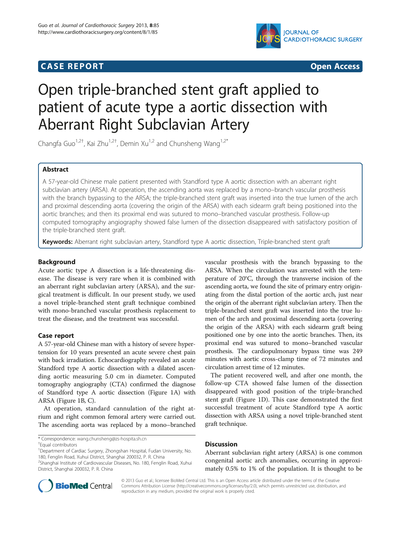## **CASE REPORT CASE REPORT CASE REPORT**



# Open triple-branched stent graft applied to patient of acute type a aortic dissection with Aberrant Right Subclavian Artery

Changfa Guo<sup>1,2†</sup>, Kai Zhu<sup>1,2†</sup>, Demin Xu<sup>1,2</sup> and Chunsheng Wang<sup>1,2\*</sup>

## Abstract

A 57-year-old Chinese male patient presented with Standford type A aortic dissection with an aberrant right subclavian artery (ARSA). At operation, the ascending aorta was replaced by a mono–branch vascular prosthesis with the branch bypassing to the ARSA; the triple-branched stent graft was inserted into the true lumen of the arch and proximal descending aorta (covering the origin of the ARSA) with each sidearm graft being positioned into the aortic branches; and then its proximal end was sutured to mono–branched vascular prosthesis. Follow-up computed tomography angiography showed false lumen of the dissection disappeared with satisfactory position of the triple-branched stent graft.

Keywords: Aberrant right subclavian artery, Standford type A aortic dissection, Triple-branched stent graft

## Background

Acute aortic type A dissection is a life-threatening disease. The disease is very rare when it is combined with an aberrant right subclavian artery (ARSA), and the surgical treatment is difficult. In our present study, we used a novel triple-branched stent graft technique combined with mono-branched vascular prosthesis replacement to treat the disease, and the treatment was successful.

## Case report

A 57-year-old Chinese man with a history of severe hypertension for 10 years presented an acute severe chest pain with back irradiation. Echocardiography revealed an acute Standford type A aortic dissection with a dilated ascending aortic measuring 5.0 cm in diameter. Computed tomography angiography (CTA) confirmed the diagnose of Standford type A aortic dissection (Figure [1](#page-1-0)A) with ARSA (Figure [1B](#page-1-0), C).

At operation, standard cannulation of the right atrium and right common femoral artery were carried out. The ascending aorta was replaced by a mono–branched

\* Correspondence: [wang.chunsheng@zs-hospita.sh.cn](mailto:wang.chunsheng@zs-hospita.sh.cn) †

<sup>1</sup>Department of Cardiac Surgery, Zhongshan Hospital, Fudan University, No. 180, Fenglin Road, Xuhui District, Shanghai 200032, P. R. China

vascular prosthesis with the branch bypassing to the ARSA. When the circulation was arrested with the temperature of 20°C, through the transverse incision of the ascending aorta, we found the site of primary entry originating from the distal portion of the aortic arch, just near the origin of the aberrant right subclavian artery. Then the triple-branched stent graft was inserted into the true lumen of the arch and proximal descending aorta (covering the origin of the ARSA) with each sidearm graft being positioned one by one into the aortic branches. Then, its proximal end was sutured to mono–branched vascular prosthesis. The cardiopulmonary bypass time was 249 minutes with aortic cross-clamp time of 72 minutes and circulation arrest time of 12 minutes.

The patient recovered well, and after one month, the follow-up CTA showed false lumen of the dissection disappeared with good position of the triple-branched stent graft (Figure [1](#page-1-0)D). This case demonstrated the first successful treatment of acute Standford type A aortic dissection with ARSA using a novel triple-branched stent graft technique.

## **Discussion**

Aberrant subclavian right artery (ARSA) is one common congenital aortic arch anomalies, occurring in approximately 0.5% to 1% of the population. It is thought to be



© 2013 Guo et al.; licensee BioMed Central Ltd. This is an Open Access article distributed under the terms of the Creative Commons Attribution License [\(http://creativecommons.org/licenses/by/2.0\)](http://creativecommons.org/licenses/by/2.0), which permits unrestricted use, distribution, and reproduction in any medium, provided the original work is properly cited.

Equal contributors

<sup>2</sup> Shanghai Institute of Cardiovascular Diseases, No. 180, Fenglin Road, Xuhui District, Shanghai 200032, P. R. China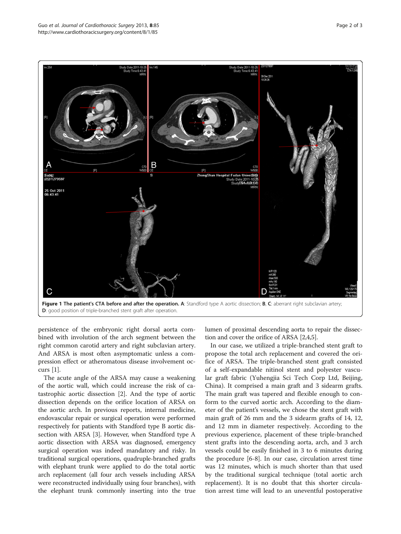<span id="page-1-0"></span>

Figure 1 The patient's CTA before and after the operation. A: Standford type A aortic dissection; B, C: aberrant right subclavian artery; D: good position of triple-branched stent graft after operation.

persistence of the embryonic right dorsal aorta combined with involution of the arch segment between the right common carotid artery and right subclavian artery. And ARSA is most often asymptomatic unless a compression effect or atheromatous disease involvement occurs [[1\]](#page-2-0).

The acute angle of the ARSA may cause a weakening of the aortic wall, which could increase the risk of catastrophic aortic dissection [\[2](#page-2-0)]. And the type of aortic dissection depends on the orifice location of ARSA on the aortic arch. In previous reports, internal medicine, endovascular repair or surgical operation were performed respectively for patients with Standford type B aortic dissection with ARSA [[3\]](#page-2-0). However, when Standford type A aortic dissection with ARSA was diagnosed, emergency surgical operation was indeed mandatory and risky. In traditional surgical operations, quadruple-branched grafts with elephant trunk were applied to do the total aortic arch replacement (all four arch vessels including ARSA were reconstructed individually using four branches), with the elephant trunk commonly inserting into the true lumen of proximal descending aorta to repair the dissection and cover the orifice of ARSA [[2](#page-2-0),[4,5](#page-2-0)].

In our case, we utilized a triple-branched stent graft to propose the total arch replacement and covered the orifice of ARSA. The triple-branched stent graft consisted of a self-expandable nitinol stent and polyester vascular graft fabric (Yuhengjia Sci Tech Corp Ltd, Beijing, China). It comprised a main graft and 3 sidearm grafts. The main graft was tapered and flexible enough to conform to the curved aortic arch. According to the diameter of the patient's vessels, we chose the stent graft with main graft of 26 mm and the 3 sidearm grafts of 14, 12, and 12 mm in diameter respectively. According to the previous experience, placement of these triple-branched stent grafts into the descending aorta, arch, and 3 arch vessels could be easily finished in 3 to 6 minutes during the procedure [[6-8](#page-2-0)]. In our case, circulation arrest time was 12 minutes, which is much shorter than that used by the traditional surgical technique (total aortic arch replacement). It is no doubt that this shorter circulation arrest time will lead to an uneventful postoperative